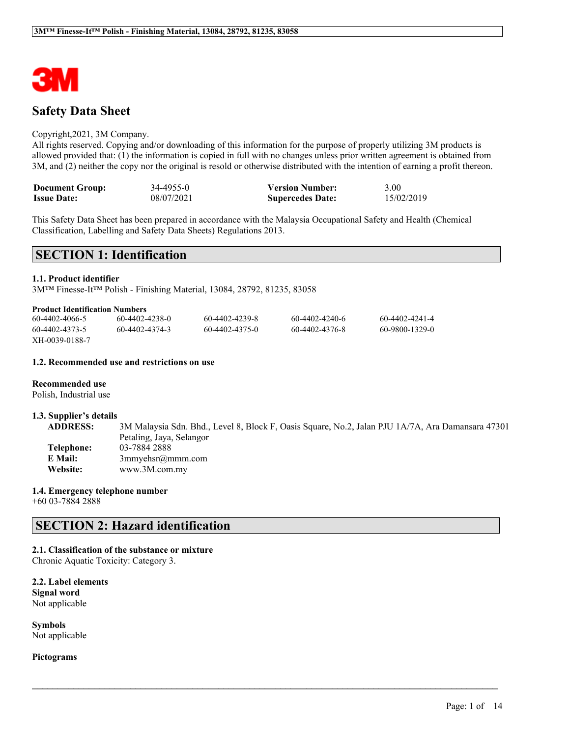

# **Safety Data Sheet**

### Copyright,2021, 3M Company.

All rights reserved. Copying and/or downloading of this information for the purpose of properly utilizing 3M products is allowed provided that: (1) the information is copied in full with no changes unless prior written agreement is obtained from 3M, and (2) neither the copy nor the original is resold or otherwise distributed with the intention of earning a profit thereon.

| <b>Document Group:</b> | 34-4955-0  | <b>Version Number:</b>  | 3.00       |
|------------------------|------------|-------------------------|------------|
| <b>Issue Date:</b>     | 08/07/2021 | <b>Supercedes Date:</b> | 15/02/2019 |

This Safety Data Sheet has been prepared in accordance with the Malaysia Occupational Safety and Health (Chemical Classification, Labelling and Safety Data Sheets) Regulations 2013.

# **SECTION 1: Identification**

#### **1.1. Product identifier**

3M™ Finesse-It™ Polish - Finishing Material, 13084, 28792, 81235, 83058

#### **Product Identification Numbers**

| 60-4402-4066-5 | 60-4402-4238-0 | 60-4402-4239-8 | 60-4402-4240-6 | 60-4402-4241-4 |
|----------------|----------------|----------------|----------------|----------------|
| 60-4402-4373-5 | 60-4402-4374-3 | 60-4402-4375-0 | 60-4402-4376-8 | 60-9800-1329-0 |
| XH-0039-0188-7 |                |                |                |                |

### **1.2. Recommended use and restrictions on use**

### **Recommended use**

Polish, Industrial use

#### **1.3. Supplier's details**

**ADDRESS:** 3M Malaysia Sdn. Bhd., Level 8, Block F, Oasis Square, No.2, Jalan PJU 1A/7A, Ara Damansara 47301 Petaling, Jaya, Selangor **Telephone:** 03-7884 2888 **E Mail:** 3mmyehsr@mmm.com **Website:** www.3M.com.my

 $\mathcal{L}_\mathcal{L} = \mathcal{L}_\mathcal{L} = \mathcal{L}_\mathcal{L} = \mathcal{L}_\mathcal{L} = \mathcal{L}_\mathcal{L} = \mathcal{L}_\mathcal{L} = \mathcal{L}_\mathcal{L} = \mathcal{L}_\mathcal{L} = \mathcal{L}_\mathcal{L} = \mathcal{L}_\mathcal{L} = \mathcal{L}_\mathcal{L} = \mathcal{L}_\mathcal{L} = \mathcal{L}_\mathcal{L} = \mathcal{L}_\mathcal{L} = \mathcal{L}_\mathcal{L} = \mathcal{L}_\mathcal{L} = \mathcal{L}_\mathcal{L}$ 

# **1.4. Emergency telephone number**

+60 03-7884 2888

# **SECTION 2: Hazard identification**

# **2.1. Classification of the substance or mixture**

Chronic Aquatic Toxicity: Category 3.

**2.2. Label elements Signal word** Not applicable

**Symbols** Not applicable

**Pictograms**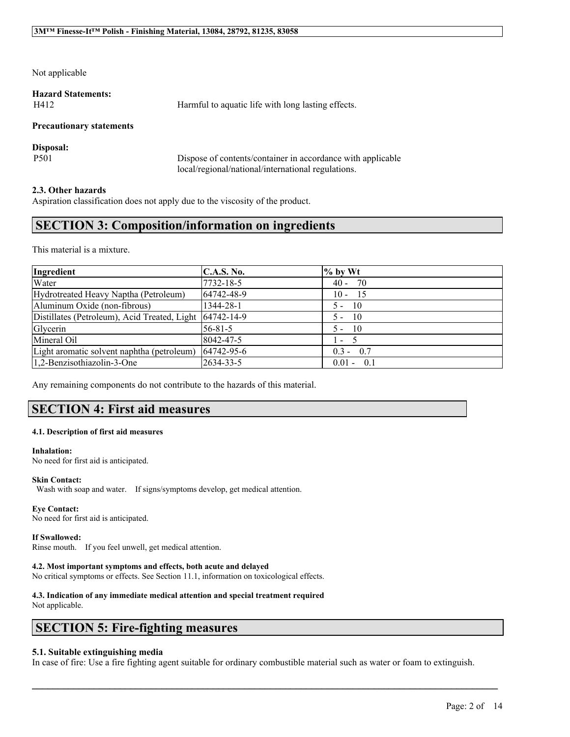Not applicable

**Hazard Statements:**

H412 Harmful to aquatic life with long lasting effects.

### **Precautionary statements**

**Disposal:**

P501 Dispose of contents/container in accordance with applicable local/regional/national/international regulations.

### **2.3. Other hazards**

Aspiration classification does not apply due to the viscosity of the product.

# **SECTION 3: Composition/information on ingredients**

This material is a mixture.

| Ingredient                                              | <b>C.A.S. No.</b> | $%$ by Wt                 |
|---------------------------------------------------------|-------------------|---------------------------|
| Water                                                   | 7732-18-5         | $40 - 70$                 |
| Hydrotreated Heavy Naptha (Petroleum)                   | 64742-48-9        | $10 - 15$                 |
| Aluminum Oxide (non-fibrous)                            | 1344-28-1         | $5 - 10$                  |
| Distillates (Petroleum), Acid Treated, Light 64742-14-9 |                   | $5 - 10$                  |
| Glycerin                                                | $56 - 81 - 5$     | $5 - 10$                  |
| Mineral Oil                                             | 8042-47-5         | $\mathbf{r} = \mathbf{r}$ |
| Light aromatic solvent naphtha (petroleum)              | 64742-95-6        | $0.3 - 0.7$               |
| 1,2-Benzisothiazolin-3-One                              | 2634-33-5         | $0.01 - 0.1$              |

Any remaining components do not contribute to the hazards of this material.

# **SECTION 4: First aid measures**

#### **4.1. Description of first aid measures**

**Inhalation:**

No need for first aid is anticipated.

### **Skin Contact:**

Wash with soap and water. If signs/symptoms develop, get medical attention.

### **Eye Contact:**

No need for first aid is anticipated.

### **If Swallowed:**

Rinse mouth. If you feel unwell, get medical attention.

### **4.2. Most important symptoms and effects, both acute and delayed**

No critical symptoms or effects. See Section 11.1, information on toxicological effects.

#### **4.3. Indication of any immediate medical attention and special treatment required** Not applicable.

# **SECTION 5: Fire-fighting measures**

### **5.1. Suitable extinguishing media**

In case of fire: Use a fire fighting agent suitable for ordinary combustible material such as water or foam to extinguish.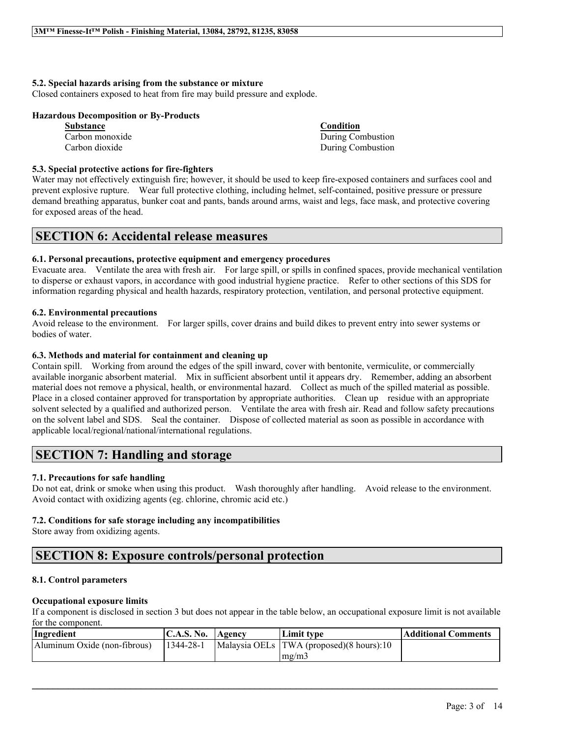### **5.2. Special hazards arising from the substance or mixture**

Closed containers exposed to heat from fire may build pressure and explode.

### **Hazardous Decomposition or By-Products**

| <b>Substance</b> | <b>Condition</b>  |
|------------------|-------------------|
| Carbon monoxide  | During Combustion |
| Carbon dioxide   | During Combustion |

### **5.3. Special protective actions for fire-fighters**

Water may not effectively extinguish fire; however, it should be used to keep fire-exposed containers and surfaces cool and prevent explosive rupture. Wear full protective clothing, including helmet, self-contained, positive pressure or pressure demand breathing apparatus, bunker coat and pants, bands around arms, waist and legs, face mask, and protective covering for exposed areas of the head.

# **SECTION 6: Accidental release measures**

## **6.1. Personal precautions, protective equipment and emergency procedures**

Evacuate area. Ventilate the area with fresh air. For large spill, or spills in confined spaces, provide mechanical ventilation to disperse or exhaust vapors, in accordance with good industrial hygiene practice. Refer to other sections of this SDS for information regarding physical and health hazards, respiratory protection, ventilation, and personal protective equipment.

## **6.2. Environmental precautions**

Avoid release to the environment. For larger spills, cover drains and build dikes to prevent entry into sewer systems or bodies of water.

## **6.3. Methods and material for containment and cleaning up**

Contain spill. Working from around the edges of the spill inward, cover with bentonite, vermiculite, or commercially available inorganic absorbent material. Mix in sufficient absorbent until it appears dry. Remember, adding an absorbent material does not remove a physical, health, or environmental hazard. Collect as much of the spilled material as possible. Place in a closed container approved for transportation by appropriate authorities. Clean up residue with an appropriate solvent selected by a qualified and authorized person. Ventilate the area with fresh air. Read and follow safety precautions on the solvent label and SDS. Seal the container. Dispose of collected material as soon as possible in accordance with applicable local/regional/national/international regulations.

# **SECTION 7: Handling and storage**

# **7.1. Precautions for safe handling**

Do not eat, drink or smoke when using this product. Wash thoroughly after handling. Avoid release to the environment. Avoid contact with oxidizing agents (eg. chlorine, chromic acid etc.)

### **7.2. Conditions for safe storage including any incompatibilities**

Store away from oxidizing agents.

# **SECTION 8: Exposure controls/personal protection**

# **8.1. Control parameters**

### **Occupational exposure limits**

If a component is disclosed in section 3 but does not appear in the table below, an occupational exposure limit is not available for the component.

| Ingredient                   | <b>C.A.S. No.</b> Agency | Limit tvpe                                   | <b>Additional Comments</b> |
|------------------------------|--------------------------|----------------------------------------------|----------------------------|
| Aluminum Oxide (non-fibrous) | 1344-28-1                | Malaysia OELs   TWA (proposed) (8 hours): 10 |                            |
|                              |                          | mg/m3                                        |                            |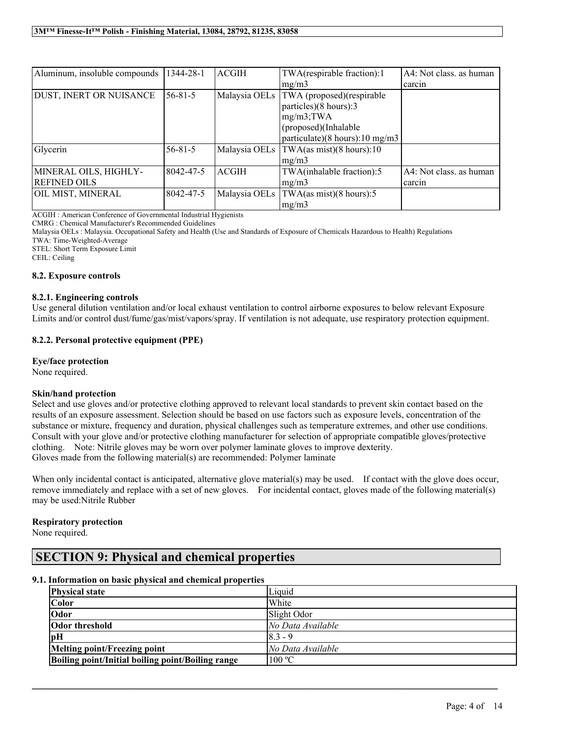| Aluminum, insoluble compounds | 1344-28-1     | <b>ACGIH</b>  | TWA(respirable fraction):1                   | A4: Not class. as human |
|-------------------------------|---------------|---------------|----------------------------------------------|-------------------------|
|                               |               |               | mg/m3                                        | carcin                  |
| DUST, INERT OR NUISANCE       | $56 - 81 - 5$ | Malaysia OELs | TWA (proposed)(respirable                    |                         |
|                               |               |               | particles)(8 hours):3                        |                         |
|                               |               |               | $mg/m3$ ; TWA                                |                         |
|                               |               |               | $\alpha$ (proposed)(Inhalable                |                         |
|                               |               |               | particulate)(8 hours): $10 \text{ mg/m}$ 3   |                         |
| Glycerin                      | $56 - 81 - 5$ |               | Malaysia OELs $ TWA$ (as mist) (8 hours): 10 |                         |
|                               |               |               | mg/m3                                        |                         |
| MINERAL OILS, HIGHLY-         | 8042-47-5     | <b>ACGIH</b>  | TWA(inhalable fraction):5                    | A4: Not class. as human |
| <b>REFINED OILS</b>           |               |               | mg/m3                                        | carcin                  |
| OIL MIST, MINERAL             | 8042-47-5     | Malaysia OELs | TWA(as mist)(8 hours):5                      |                         |
|                               |               |               | mg/m3                                        |                         |

ACGIH : American Conference of Governmental Industrial Hygienists

CMRG : Chemical Manufacturer's Recommended Guidelines

Malaysia OELs : Malaysia. Occupational Safety and Health (Use and Standards of Exposure of Chemicals Hazardous to Health) Regulations

TWA: Time-Weighted-Average

STEL: Short Term Exposure Limit

CEIL: Ceiling

### **8.2. Exposure controls**

### **8.2.1. Engineering controls**

Use general dilution ventilation and/or local exhaust ventilation to control airborne exposures to below relevant Exposure Limits and/or control dust/fume/gas/mist/vapors/spray. If ventilation is not adequate, use respiratory protection equipment.

### **8.2.2. Personal protective equipment (PPE)**

### **Eye/face protection**

None required.

### **Skin/hand protection**

Select and use gloves and/or protective clothing approved to relevant local standards to prevent skin contact based on the results of an exposure assessment. Selection should be based on use factors such as exposure levels, concentration of the substance or mixture, frequency and duration, physical challenges such as temperature extremes, and other use conditions. Consult with your glove and/or protective clothing manufacturer for selection of appropriate compatible gloves/protective clothing. Note: Nitrile gloves may be worn over polymer laminate gloves to improve dexterity. Gloves made from the following material(s) are recommended: Polymer laminate

When only incidental contact is anticipated, alternative glove material(s) may be used. If contact with the glove does occur, remove immediately and replace with a set of new gloves. For incidental contact, gloves made of the following material(s) may be used:Nitrile Rubber

### **Respiratory protection**

None required.

# **SECTION 9: Physical and chemical properties**

### **9.1. Information on basic physical and chemical properties**

| <b>Physical state</b>                             | Liquid            |
|---------------------------------------------------|-------------------|
| <b>Color</b>                                      | White             |
| Odor                                              | Slight Odor       |
| <b>Odor threshold</b>                             | No Data Available |
| pН                                                | $8.3 - 9$         |
| Melting point/Freezing point                      | No Data Available |
| Boiling point/Initial boiling point/Boiling range | 100 °C            |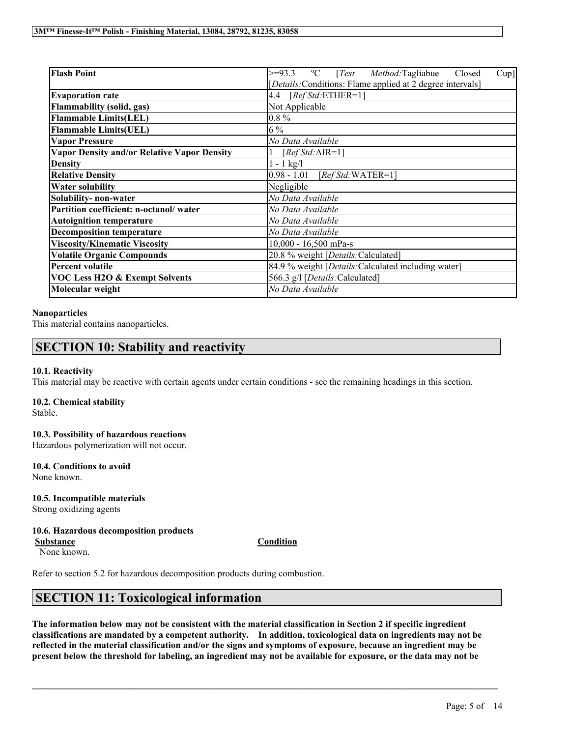| <b>Flash Point</b>                                 | <sup>o</sup> C [ <i>Test Method</i> :Tagliabue<br>$>=93.3$<br>Closed<br>Cup] |  |  |
|----------------------------------------------------|------------------------------------------------------------------------------|--|--|
|                                                    | [Details:Conditions: Flame applied at 2 degree intervals]                    |  |  |
| <b>Evaporation rate</b>                            | $[RefStd:ETHER=1]$<br>4.4                                                    |  |  |
| <b>Flammability (solid, gas)</b>                   | Not Applicable                                                               |  |  |
| <b>Flammable Limits(LEL)</b>                       | $0.8\%$                                                                      |  |  |
| <b>Flammable Limits(UEL)</b>                       | $6\%$                                                                        |  |  |
| <b>Vapor Pressure</b>                              | No Data Available                                                            |  |  |
| <b>Vapor Density and/or Relative Vapor Density</b> | [ $RefStd:AIR=1$ ]                                                           |  |  |
| <b>Density</b>                                     | $1 - 1$ kg/l                                                                 |  |  |
| <b>Relative Density</b>                            | 0.98 - 1.01 [Ref Std: WATER=1]                                               |  |  |
| <b>Water solubility</b>                            | Negligible                                                                   |  |  |
| Solubility- non-water                              | No Data Available                                                            |  |  |
| Partition coefficient: n-octanol/water             | No Data Available                                                            |  |  |
| <b>Autoignition temperature</b>                    | No Data Available                                                            |  |  |
| <b>Decomposition temperature</b>                   | No Data Available                                                            |  |  |
| <b>Viscosity/Kinematic Viscosity</b>               | $10,000 - 16,500$ mPa-s                                                      |  |  |
| <b>Volatile Organic Compounds</b>                  | 20.8 % weight [Details: Calculated]                                          |  |  |
| <b>Percent volatile</b>                            | 84.9 % weight [Details:Calculated including water]                           |  |  |
| <b>VOC Less H2O &amp; Exempt Solvents</b>          | 566.3 g/l [Details: Calculated]                                              |  |  |
| Molecular weight                                   | No Data Available                                                            |  |  |

## **Nanoparticles**

This material contains nanoparticles.

# **SECTION 10: Stability and reactivity**

### **10.1. Reactivity**

This material may be reactive with certain agents under certain conditions - see the remaining headings in this section.

# **10.2. Chemical stability**

Stable.

### **10.3. Possibility of hazardous reactions**

Hazardous polymerization will not occur.

# **10.4. Conditions to avoid**

None known.

# **10.5. Incompatible materials**

Strong oxidizing agents

# **10.6. Hazardous decomposition products**

**Substance Condition**

None known.

Refer to section 5.2 for hazardous decomposition products during combustion.

# **SECTION 11: Toxicological information**

The information below may not be consistent with the material classification in Section 2 if specific ingredient **classifications are mandated by a competent authority. In addition, toxicological data on ingredients may not be** reflected in the material classification and/or the signs and symptoms of exposure, because an ingredient may be present below the threshold for labeling, an ingredient may not be available for exposure, or the data may not be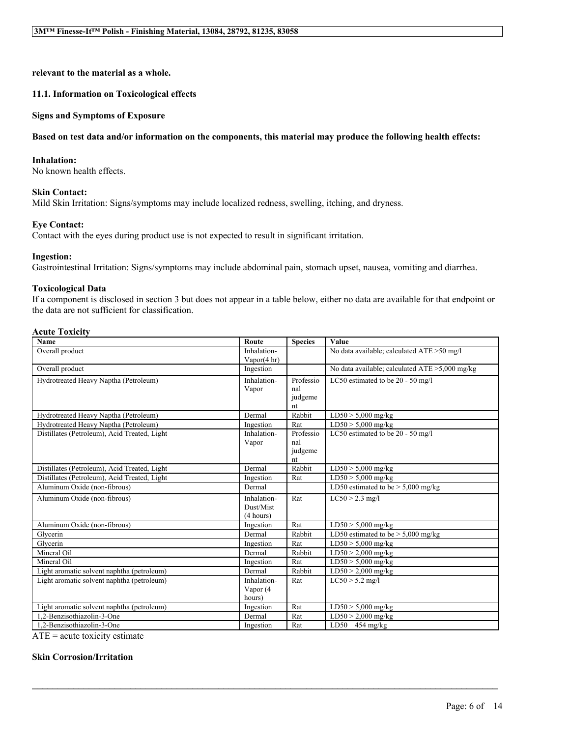**relevant to the material as a whole.**

## **11.1. Information on Toxicological effects**

### **Signs and Symptoms of Exposure**

## Based on test data and/or information on the components, this material may produce the following health effects:

### **Inhalation:**

No known health effects.

## **Skin Contact:**

Mild Skin Irritation: Signs/symptoms may include localized redness, swelling, itching, and dryness.

## **Eye Contact:**

Contact with the eyes during product use is not expected to result in significant irritation.

### **Ingestion:**

Gastrointestinal Irritation: Signs/symptoms may include abdominal pain, stomach upset, nausea, vomiting and diarrhea.

## **Toxicological Data**

If a component is disclosed in section 3 but does not appear in a table below, either no data are available for that endpoint or the data are not sufficient for classification.

### **Acute Toxicity**

| Name                                         | Route                  | <b>Species</b> | Value                                             |
|----------------------------------------------|------------------------|----------------|---------------------------------------------------|
| Overall product                              | Inhalation-            |                | No data available; calculated ATE > 50 mg/l       |
|                                              | Vapor $(4 \text{ hr})$ |                |                                                   |
| Overall product                              | Ingestion              |                | No data available; calculated $ATE > 5,000$ mg/kg |
| Hydrotreated Heavy Naptha (Petroleum)        | Inhalation-            | Professio      | LC50 estimated to be 20 - 50 mg/l                 |
|                                              | Vapor                  | nal            |                                                   |
|                                              |                        | judgeme        |                                                   |
|                                              |                        | nt             |                                                   |
| Hydrotreated Heavy Naptha (Petroleum)        | Dermal                 | Rabbit         | $LD50 > 5,000$ mg/kg                              |
| Hydrotreated Heavy Naptha (Petroleum)        | Ingestion              | Rat            | $LD50 > 5,000$ mg/kg                              |
| Distillates (Petroleum), Acid Treated, Light | Inhalation-            | Professio      | LC50 estimated to be 20 - 50 mg/l                 |
|                                              | Vapor                  | nal            |                                                   |
|                                              |                        | judgeme        |                                                   |
|                                              |                        | nt             |                                                   |
| Distillates (Petroleum), Acid Treated, Light | Dermal                 | Rabbit         | $LD50 > 5,000$ mg/kg                              |
| Distillates (Petroleum), Acid Treated, Light | Ingestion              | Rat            | $LD50 > 5,000$ mg/kg                              |
| Aluminum Oxide (non-fibrous)                 | Dermal                 |                | LD50 estimated to be $> 5,000$ mg/kg              |
| Aluminum Oxide (non-fibrous)                 | Inhalation-            | Rat            | $LC50 > 2.3$ mg/l                                 |
|                                              | Dust/Mist              |                |                                                   |
|                                              | (4 hours)              |                |                                                   |
| Aluminum Oxide (non-fibrous)                 | Ingestion              | Rat            | $\overline{\text{LD}}$ 50 > 5,000 mg/kg           |
| Glycerin                                     | Dermal                 | Rabbit         | LD50 estimated to be $> 5,000$ mg/kg              |
| Glycerin                                     | Ingestion              | Rat            | $LD50 > 5,000$ mg/kg                              |
| Mineral Oil                                  | Dermal                 | Rabbit         | $LD50 > 2,000$ mg/kg                              |
| Mineral Oil                                  | Ingestion              | Rat            | $LD50 > 5,000$ mg/kg                              |
| Light aromatic solvent naphtha (petroleum)   | Dermal                 | Rabbit         | $LD50 > 2,000$ mg/kg                              |
| Light aromatic solvent naphtha (petroleum)   | Inhalation-            | Rat            | $LC50 > 5.2$ mg/l                                 |
|                                              | Vapor (4               |                |                                                   |
|                                              | hours)                 |                |                                                   |
| Light aromatic solvent naphtha (petroleum)   | Ingestion              | Rat            | $LD50 > 5,000$ mg/kg                              |
| 1.2-Benzisothiazolin-3-One                   | Dermal                 | Rat            | $LD50 > 2,000$ mg/kg                              |
| 1.2-Benzisothiazolin-3-One                   | Ingestion              | Rat            | $\overline{LD50}$ 454 mg/kg                       |

 $\mathcal{L}_\mathcal{L} = \mathcal{L}_\mathcal{L} = \mathcal{L}_\mathcal{L} = \mathcal{L}_\mathcal{L} = \mathcal{L}_\mathcal{L} = \mathcal{L}_\mathcal{L} = \mathcal{L}_\mathcal{L} = \mathcal{L}_\mathcal{L} = \mathcal{L}_\mathcal{L} = \mathcal{L}_\mathcal{L} = \mathcal{L}_\mathcal{L} = \mathcal{L}_\mathcal{L} = \mathcal{L}_\mathcal{L} = \mathcal{L}_\mathcal{L} = \mathcal{L}_\mathcal{L} = \mathcal{L}_\mathcal{L} = \mathcal{L}_\mathcal{L}$ 

 $ATE = acute$  toxicity estimate

## **Skin Corrosion/Irritation**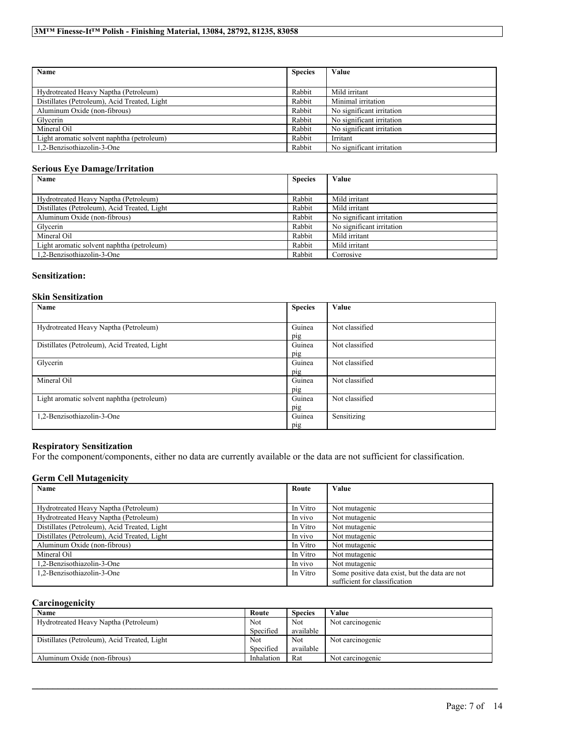| Name                                         | <b>Species</b> | Value                     |
|----------------------------------------------|----------------|---------------------------|
|                                              |                |                           |
| Hydrotreated Heavy Naptha (Petroleum)        | Rabbit         | Mild irritant             |
| Distillates (Petroleum), Acid Treated, Light | Rabbit         | Minimal irritation        |
| Aluminum Oxide (non-fibrous)                 | Rabbit         | No significant irritation |
| Glycerin                                     | Rabbit         | No significant irritation |
| Mineral Oil                                  | Rabbit         | No significant irritation |
| Light aromatic solvent naphtha (petroleum)   | Rabbit         | Irritant                  |
| 1.2-Benzisothiazolin-3-One                   | Rabbit         | No significant irritation |

# **Serious Eye Damage/Irritation**

| Name                                         | <b>Species</b> | Value                     |
|----------------------------------------------|----------------|---------------------------|
|                                              |                |                           |
| Hydrotreated Heavy Naptha (Petroleum)        | Rabbit         | Mild irritant             |
| Distillates (Petroleum), Acid Treated, Light | Rabbit         | Mild irritant             |
| Aluminum Oxide (non-fibrous)                 | Rabbit         | No significant irritation |
| Glycerin                                     | Rabbit         | No significant irritation |
| Mineral Oil                                  | Rabbit         | Mild irritant             |
| Light aromatic solvent naphtha (petroleum)   | Rabbit         | Mild irritant             |
| 1.2-Benzisothiazolin-3-One                   | Rabbit         | Corrosive                 |

### **Sensitization:**

# **Skin Sensitization**

| Name                                         | <b>Species</b> | Value          |
|----------------------------------------------|----------------|----------------|
|                                              |                |                |
| Hydrotreated Heavy Naptha (Petroleum)        | Guinea         | Not classified |
|                                              | pig            |                |
| Distillates (Petroleum), Acid Treated, Light | Guinea         | Not classified |
|                                              | pig            |                |
| Glycerin                                     | Guinea         | Not classified |
|                                              | pig            |                |
| Mineral Oil                                  | Guinea         | Not classified |
|                                              | pig            |                |
| Light aromatic solvent naphtha (petroleum)   | Guinea         | Not classified |
|                                              | pig            |                |
| 1,2-Benzisothiazolin-3-One                   | Guinea         | Sensitizing    |
|                                              | pig            |                |

# **Respiratory Sensitization**

For the component/components, either no data are currently available or the data are not sufficient for classification.

# **Germ Cell Mutagenicity**

| Name                                         | Route    | Value                                                                           |
|----------------------------------------------|----------|---------------------------------------------------------------------------------|
|                                              |          |                                                                                 |
| Hydrotreated Heavy Naptha (Petroleum)        | In Vitro | Not mutagenic                                                                   |
| Hydrotreated Heavy Naptha (Petroleum)        | In vivo  | Not mutagenic                                                                   |
| Distillates (Petroleum), Acid Treated, Light | In Vitro | Not mutagenic                                                                   |
| Distillates (Petroleum), Acid Treated, Light | In vivo  | Not mutagenic                                                                   |
| Aluminum Oxide (non-fibrous)                 | In Vitro | Not mutagenic                                                                   |
| Mineral Oil                                  | In Vitro | Not mutagenic                                                                   |
| 1,2-Benzisothiazolin-3-One                   | In vivo  | Not mutagenic                                                                   |
| 1.2-Benzisothiazolin-3-One                   | In Vitro | Some positive data exist, but the data are not<br>sufficient for classification |

## **Carcinogenicity**

| Name                                         | Route      | <b>Species</b> | Value            |
|----------------------------------------------|------------|----------------|------------------|
| Hydrotreated Heavy Naptha (Petroleum)        | Not        | <b>Not</b>     | Not carcinogenic |
|                                              | Specified  | available      |                  |
| Distillates (Petroleum), Acid Treated, Light | Not        | <b>Not</b>     | Not carcinogenic |
|                                              | Specified  | available      |                  |
| Aluminum Oxide (non-fibrous)                 | Inhalation | Rat            | Not carcinogenic |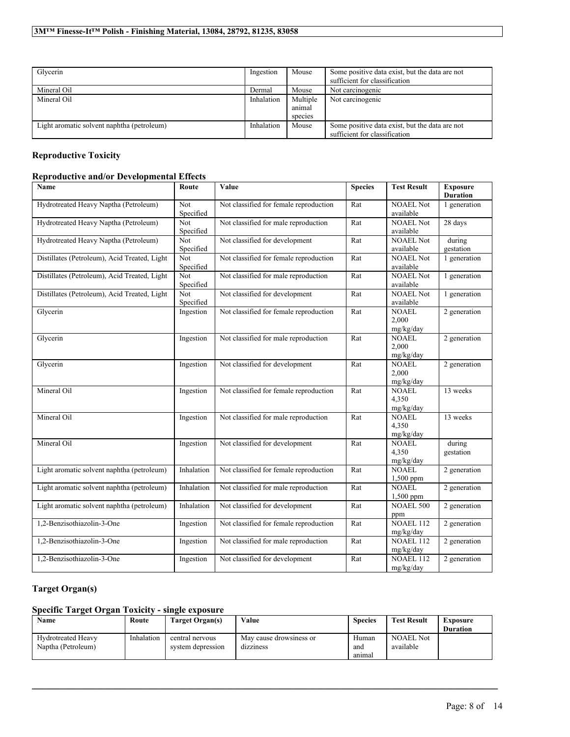| Glycerin                                   | Ingestion  | Mouse    | Some positive data exist, but the data are not<br>sufficient for classification |
|--------------------------------------------|------------|----------|---------------------------------------------------------------------------------|
| Mineral Oil                                | Dermal     | Mouse    | Not carcinogenic                                                                |
| Mineral Oil                                | Inhalation | Multiple | Not carcinogenic                                                                |
|                                            |            | animal   |                                                                                 |
|                                            |            | species  |                                                                                 |
| Light aromatic solvent naphtha (petroleum) | Inhalation | Mouse    | Some positive data exist, but the data are not                                  |
|                                            |            |          | sufficient for classification                                                   |

# **Reproductive Toxicity**

# **Reproductive and/or Developmental Effects**

| Name                                         | Route                   | Value                                  | <b>Species</b> | <b>Test Result</b>                 | <b>Exposure</b><br><b>Duration</b> |
|----------------------------------------------|-------------------------|----------------------------------------|----------------|------------------------------------|------------------------------------|
| Hydrotreated Heavy Naptha (Petroleum)        | Not<br>Specified        | Not classified for female reproduction | Rat            | <b>NOAEL Not</b><br>available      | 1 generation                       |
| Hydrotreated Heavy Naptha (Petroleum)        | <b>Not</b><br>Specified | Not classified for male reproduction   | Rat            | <b>NOAEL Not</b><br>available      | 28 days                            |
| Hydrotreated Heavy Naptha (Petroleum)        | Not<br>Specified        | Not classified for development         | Rat            | <b>NOAEL Not</b><br>available      | during<br>gestation                |
| Distillates (Petroleum), Acid Treated, Light | Not<br>Specified        | Not classified for female reproduction | Rat            | <b>NOAEL Not</b><br>available      | 1 generation                       |
| Distillates (Petroleum), Acid Treated, Light | Not.<br>Specified       | Not classified for male reproduction   | Rat            | <b>NOAEL Not</b><br>available      | 1 generation                       |
| Distillates (Petroleum), Acid Treated, Light | Not<br>Specified        | Not classified for development         | Rat            | <b>NOAEL Not</b><br>available      | 1 generation                       |
| Glycerin                                     | Ingestion               | Not classified for female reproduction | Rat            | <b>NOAEL</b><br>2.000<br>mg/kg/day | 2 generation                       |
| Glycerin                                     | Ingestion               | Not classified for male reproduction   | Rat            | <b>NOAEL</b><br>2,000<br>mg/kg/day | 2 generation                       |
| Glycerin                                     | Ingestion               | Not classified for development         | Rat            | <b>NOAEL</b><br>2.000<br>mg/kg/day | 2 generation                       |
| Mineral Oil                                  | Ingestion               | Not classified for female reproduction | Rat            | <b>NOAEL</b><br>4,350<br>mg/kg/day | 13 weeks                           |
| Mineral Oil                                  | Ingestion               | Not classified for male reproduction   | Rat            | <b>NOAEL</b><br>4,350<br>mg/kg/day | 13 weeks                           |
| Mineral Oil                                  | Ingestion               | Not classified for development         | Rat            | <b>NOAEL</b><br>4,350<br>mg/kg/day | during<br>gestation                |
| Light aromatic solvent naphtha (petroleum)   | Inhalation              | Not classified for female reproduction | Rat            | <b>NOAEL</b><br>1,500 ppm          | 2 generation                       |
| Light aromatic solvent naphtha (petroleum)   | Inhalation              | Not classified for male reproduction   | Rat            | <b>NOAEL</b><br>1,500 ppm          | 2 generation                       |
| Light aromatic solvent naphtha (petroleum)   | Inhalation              | Not classified for development         | Rat            | <b>NOAEL 500</b><br>ppm            | 2 generation                       |
| 1,2-Benzisothiazolin-3-One                   | Ingestion               | Not classified for female reproduction | Rat            | <b>NOAEL 112</b><br>mg/kg/day      | 2 generation                       |
| 1,2-Benzisothiazolin-3-One                   | Ingestion               | Not classified for male reproduction   | Rat            | <b>NOAEL 112</b><br>mg/kg/day      | 2 generation                       |
| 1,2-Benzisothiazolin-3-One                   | Ingestion               | Not classified for development         | Rat            | NOAEL 112<br>mg/kg/day             | 2 generation                       |

# **Target Organ(s)**

# **Specific Target Organ Toxicity - single exposure**

| Name                                            | Route      | Target Organ(s)                      | Value                                | Species                | <b>Test Result</b>            | Exposure<br><b>Duration</b> |
|-------------------------------------------------|------------|--------------------------------------|--------------------------------------|------------------------|-------------------------------|-----------------------------|
| <b>Hydrotreated Heavy</b><br>Naptha (Petroleum) | Inhalation | central nervous<br>system depression | May cause drowsiness or<br>dizziness | Human<br>and<br>anımal | <b>NOAEL Not</b><br>available |                             |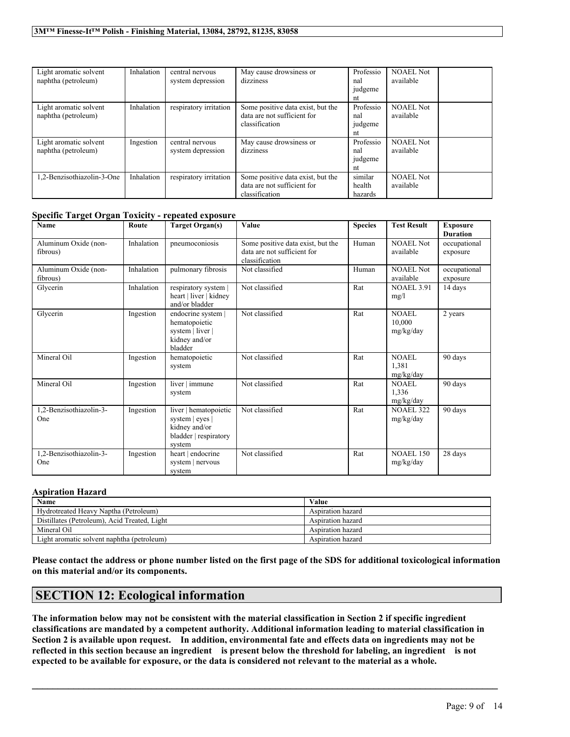| Light aromatic solvent<br>naphtha (petroleum) | Inhalation | central nervous<br>system depression | May cause drowsiness or<br>dizziness                                               | Professio<br>nal<br>judgeme<br>nt | <b>NOAEL Not</b><br>available |  |
|-----------------------------------------------|------------|--------------------------------------|------------------------------------------------------------------------------------|-----------------------------------|-------------------------------|--|
| Light aromatic solvent<br>naphtha (petroleum) | Inhalation | respiratory irritation               | Some positive data exist, but the<br>data are not sufficient for<br>classification | Professio<br>nal<br>judgeme<br>nt | <b>NOAEL Not</b><br>available |  |
| Light aromatic solvent<br>naphtha (petroleum) | Ingestion  | central nervous<br>system depression | May cause drowsiness or<br>dizziness                                               | Professio<br>nal<br>judgeme<br>nt | <b>NOAEL Not</b><br>available |  |
| 1.2-Benzisothiazolin-3-One                    | Inhalation | respiratory irritation               | Some positive data exist, but the<br>data are not sufficient for<br>classification | similar<br>health<br>hazards      | <b>NOAEL Not</b><br>available |  |

## **Specific Target Organ Toxicity - repeated exposure**

| <b>Name</b>                      | Route      | <b>Target Organ(s)</b>                                                                       | Value                                                                              | <b>Species</b> | <b>Test Result</b>            | <b>Exposure</b><br><b>Duration</b> |
|----------------------------------|------------|----------------------------------------------------------------------------------------------|------------------------------------------------------------------------------------|----------------|-------------------------------|------------------------------------|
| Aluminum Oxide (non-<br>fibrous) | Inhalation | pneumoconiosis                                                                               | Some positive data exist, but the<br>data are not sufficient for<br>classification | Human          | NOAEL Not<br>available        | occupational<br>exposure           |
| Aluminum Oxide (non-<br>fibrous) | Inhalation | pulmonary fibrosis                                                                           | Not classified                                                                     | Human          | <b>NOAEL Not</b><br>available | occupational<br>exposure           |
| Glycerin                         | Inhalation | respiratory system  <br>heart   liver   kidney<br>and/or bladder                             | Not classified                                                                     | Rat            | <b>NOAEL 3.91</b><br>mg/l     | 14 days                            |
| Glycerin                         | Ingestion  | endocrine system  <br>hematopoietic<br>system   liver  <br>kidney and/or<br>bladder          | Not classified                                                                     | Rat            | NOAEL<br>10,000<br>mg/kg/day  | 2 years                            |
| Mineral Oil                      | Ingestion  | hematopoietic<br>system                                                                      | Not classified                                                                     | Rat            | NOAEL<br>1,381<br>mg/kg/day   | 90 days                            |
| Mineral Oil                      | Ingestion  | liver   immune<br>system                                                                     | Not classified                                                                     | Rat            | NOAEL<br>1.336<br>mg/kg/day   | 90 days                            |
| 1,2-Benzisothiazolin-3-<br>One   | Ingestion  | liver   hematopoietic<br>system   eyes  <br>kidney and/or<br>bladder   respiratory<br>system | Not classified                                                                     | Rat            | <b>NOAEL 322</b><br>mg/kg/day | 90 days                            |
| 1,2-Benzisothiazolin-3-<br>One   | Ingestion  | heart   endocrine<br>system   nervous<br>system                                              | Not classified                                                                     | Rat            | <b>NOAEL 150</b><br>mg/kg/day | 28 days                            |

### **Aspiration Hazard**

| Name                                         | Value             |
|----------------------------------------------|-------------------|
| Hydrotreated Heavy Naptha (Petroleum)        | Aspiration hazard |
| Distillates (Petroleum), Acid Treated, Light | Aspiration hazard |
| Mineral Oil                                  | Aspiration hazard |
| Light aromatic solvent naphtha (petroleum)   | Aspiration hazard |

Please contact the address or phone number listed on the first page of the SDS for additional toxicological information **on this material and/or its components.**

# **SECTION 12: Ecological information**

The information below may not be consistent with the material classification in Section 2 if specific ingredient **classifications are mandated by a competent authority. Additional information leading to material classification in** Section 2 is available upon request. In addition, environmental fate and effects data on ingredients may not be reflected in this section because an ingredient is present below the threshold for labeling, an ingredient is not expected to be available for exposure, or the data is considered not relevant to the material as a whole.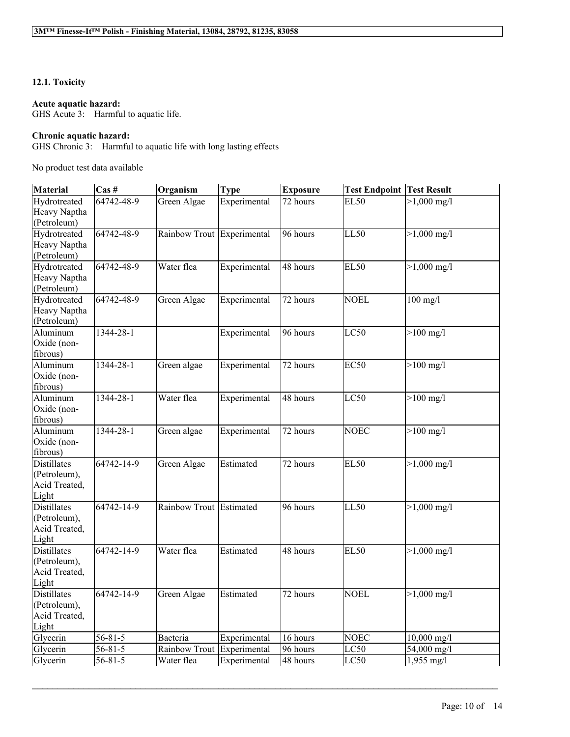# **12.1. Toxicity**

## **Acute aquatic hazard:**

GHS Acute 3: Harmful to aquatic life.

# **Chronic aquatic hazard:**

GHS Chronic 3: Harmful to aquatic life with long lasting effects

No product test data available

| <b>Material</b>    | $\text{Cas}\;#$      | Organism                   | <b>Type</b>  | <b>Exposure</b> | <b>Test Endpoint Test Result</b> |                       |
|--------------------|----------------------|----------------------------|--------------|-----------------|----------------------------------|-----------------------|
| Hydrotreated       | 64742-48-9           | Green Algae                | Experimental | 72 hours        | <b>EL50</b>                      | $>1,000 \text{ mg}/1$ |
| Heavy Naptha       |                      |                            |              |                 |                                  |                       |
| (Petroleum)        |                      |                            |              |                 |                                  |                       |
| Hydrotreated       | 64742-48-9           | Rainbow Trout Experimental |              | 96 hours        | LL50                             | $>1,000 \text{ mg}/1$ |
| Heavy Naptha       |                      |                            |              |                 |                                  |                       |
| (Petroleum)        |                      |                            |              |                 |                                  |                       |
| Hydrotreated       | 64742-48-9           | Water flea                 | Experimental | 48 hours        | <b>EL50</b>                      | $>1,000 \text{ mg}/1$ |
| Heavy Naptha       |                      |                            |              |                 |                                  |                       |
| (Petroleum)        |                      |                            |              |                 |                                  |                       |
| Hydrotreated       | 64742-48-9           | Green Algae                | Experimental | 72 hours        | <b>NOEL</b>                      | $100$ mg/l            |
| Heavy Naptha       |                      |                            |              |                 |                                  |                       |
| (Petroleum)        |                      |                            |              |                 |                                  |                       |
| Aluminum           | 1344-28-1            |                            | Experimental | 96 hours        | LC50                             | $>100$ mg/l           |
| Oxide (non-        |                      |                            |              |                 |                                  |                       |
| fibrous)           |                      |                            |              |                 |                                  |                       |
| Aluminum           | 1344-28-1            | Green algae                | Experimental | 72 hours        | EC <sub>50</sub>                 | $>100$ mg/l           |
| Oxide (non-        |                      |                            |              |                 |                                  |                       |
| fibrous)           |                      |                            |              |                 |                                  |                       |
| Aluminum           | 1344-28-1            | Water flea                 | Experimental | 48 hours        | LC50                             | $>100$ mg/l           |
| Oxide (non-        |                      |                            |              |                 |                                  |                       |
| fibrous)           |                      |                            |              |                 |                                  |                       |
| Aluminum           | 1344-28-1            | Green algae                | Experimental | 72 hours        | <b>NOEC</b>                      | $>100$ mg/l           |
| Oxide (non-        |                      |                            |              |                 |                                  |                       |
| fibrous)           |                      |                            |              |                 |                                  |                       |
| <b>Distillates</b> | $64742 - 14 - 9$     | Green Algae                | Estimated    | 72 hours        | <b>EL50</b>                      | $>1,000 \text{ mg}/1$ |
| (Petroleum),       |                      |                            |              |                 |                                  |                       |
| Acid Treated,      |                      |                            |              |                 |                                  |                       |
| Light              |                      |                            |              |                 |                                  |                       |
| <b>Distillates</b> | 64742-14-9           | Rainbow Trout Estimated    |              | 96 hours        | LL50                             | $>1,000 \text{ mg}/1$ |
| (Petroleum),       |                      |                            |              |                 |                                  |                       |
| Acid Treated,      |                      |                            |              |                 |                                  |                       |
| Light              |                      |                            |              |                 |                                  |                       |
| <b>Distillates</b> | 64742-14-9           | Water flea                 | Estimated    | 48 hours        | <b>EL50</b>                      | $>1,000 \text{ mg/l}$ |
| (Petroleum),       |                      |                            |              |                 |                                  |                       |
| Acid Treated,      |                      |                            |              |                 |                                  |                       |
| Light              |                      |                            |              |                 |                                  |                       |
| <b>Distillates</b> | 64742-14-9           | Green Algae                | Estimated    | 72 hours        | <b>NOEL</b>                      | $>1,000 \text{ mg}/1$ |
| (Petroleum),       |                      |                            |              |                 |                                  |                       |
| Acid Treated,      |                      |                            |              |                 |                                  |                       |
| Light              |                      |                            |              |                 |                                  |                       |
| Glycerin           | $56 - 81 - 5$        | Bacteria                   | Experimental | 16 hours        | <b>NOEC</b>                      | $10,000$ mg/l         |
| Glycerin           | $56 - 81 - 5$        | Rainbow Trout              | Experimental | 96 hours        | LC50                             | 54,000 mg/l           |
| Glycerin           | $\overline{56-81-5}$ | Water flea                 | Experimental | 48 hours        | LC50                             | $1,955$ mg/l          |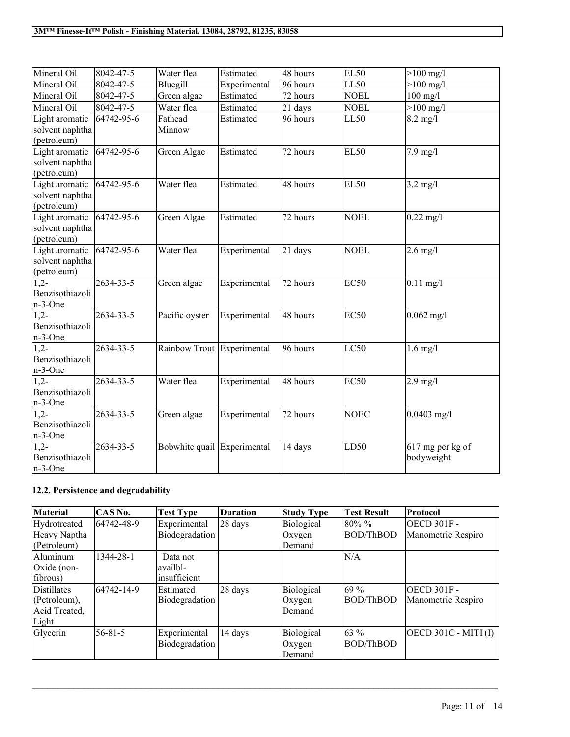| Mineral Oil                                      | 8042-47-5       | Water flea                  | Estimated    | 48 hours | <b>EL50</b> | $>100$ mg/l                             |
|--------------------------------------------------|-----------------|-----------------------------|--------------|----------|-------------|-----------------------------------------|
| Mineral Oil                                      | 8042-47-5       | Bluegill                    | Experimental | 96 hours | LL50        | $>100$ mg/l                             |
| Mineral Oil                                      | 8042-47-5       | Green algae                 | Estimated    | 72 hours | <b>NOEL</b> | $100$ mg/l                              |
| Mineral Oil                                      | 8042-47-5       | Water flea                  | Estimated    | 21 days  | <b>NOEL</b> | $>100$ mg/l                             |
| Light aromatic<br>solvent naphtha<br>(petroleum) | 64742-95-6      | Fathead<br>Minnow           | Estimated    | 96 hours | LL50        | $8.2$ mg/l                              |
| Light aromatic<br>solvent naphtha<br>(petroleum) | 64742-95-6      | Green Algae                 | Estimated    | 72 hours | <b>EL50</b> | $7.9$ mg/l                              |
| Light aromatic<br>solvent naphtha<br>(petroleum) | 64742-95-6      | Water flea                  | Estimated    | 48 hours | <b>EL50</b> | $3.2 \text{ mg}/l$                      |
| Light aromatic<br>solvent naphtha<br>(petroleum) | 64742-95-6      | Green Algae                 | Estimated    | 72 hours | <b>NOEL</b> | $0.22 \text{ mg}/1$                     |
| Light aromatic<br>solvent naphtha<br>(petroleum) | 64742-95-6      | Water flea                  | Experimental | 21 days  | <b>NOEL</b> | $2.6$ mg/l                              |
| $1,2-$<br>Benzisothiazoli<br>n-3-One             | 2634-33-5       | Green algae                 | Experimental | 72 hours | <b>EC50</b> | $0.11$ mg/l                             |
| $1,2-$<br>Benzisothiazoli<br>n-3-One             | 2634-33-5       | Pacific oyster              | Experimental | 48 hours | <b>EC50</b> | $0.062$ mg/l                            |
| $1,2-$<br>Benzisothiazoli<br>n-3-One             | 2634-33-5       | Rainbow Trout Experimental  |              | 96 hours | LC50        | $1.6$ mg/l                              |
| $\overline{1,2}$<br>Benzisothiazoli<br>n-3-One   | $2634 - 33 - 5$ | Water flea                  | Experimental | 48 hours | <b>EC50</b> | $2.9$ mg/l                              |
| $1,2-$<br>Benzisothiazoli<br>n-3-One             | $2634 - 33 - 5$ | Green algae                 | Experimental | 72 hours | <b>NOEC</b> | $0.0403$ mg/l                           |
| $1.2 -$<br>Benzisothiazoli<br>n-3-One            | 2634-33-5       | Bobwhite quail Experimental |              | 14 days  | LD50        | $\sqrt{617}$ mg per kg of<br>bodyweight |

# **12.2. Persistence and degradability**

| <b>Material</b> | <b>CAS No.</b> | <b>Test Type</b> | Duration | <b>Study Type</b> | <b>Test Result</b> | Protocol                    |
|-----------------|----------------|------------------|----------|-------------------|--------------------|-----------------------------|
| Hydrotreated    | 64742-48-9     | Experimental     | 28 days  | Biological        | 80%%               | OECD 301F -                 |
| Heavy Naptha    |                | Biodegradation   |          | Oxygen            | <b>BOD/ThBOD</b>   | Manometric Respiro          |
| (Petroleum)     |                |                  |          | Demand            |                    |                             |
| Aluminum        | 1344-28-1      | Data not         |          |                   | N/A                |                             |
| Oxide (non-     |                | lavailbl-        |          |                   |                    |                             |
| fibrous)        |                | insufficient     |          |                   |                    |                             |
| Distillates     | 64742-14-9     | Estimated        | 28 days  | Biological        | 69 %               | OECD 301F -                 |
| (Petroleum),    |                | Biodegradation   |          | Oxygen            | <b>BOD/ThBOD</b>   | Manometric Respiro          |
| Acid Treated,   |                |                  |          | Demand            |                    |                             |
| Light           |                |                  |          |                   |                    |                             |
| Glycerin        | $56 - 81 - 5$  | Experimental     | 14 days  | Biological        | 63 %               | <b>OECD 301C - MITI (I)</b> |
|                 |                | Biodegradation   |          | Oxygen            | <b>BOD/ThBOD</b>   |                             |
|                 |                |                  |          | Demand            |                    |                             |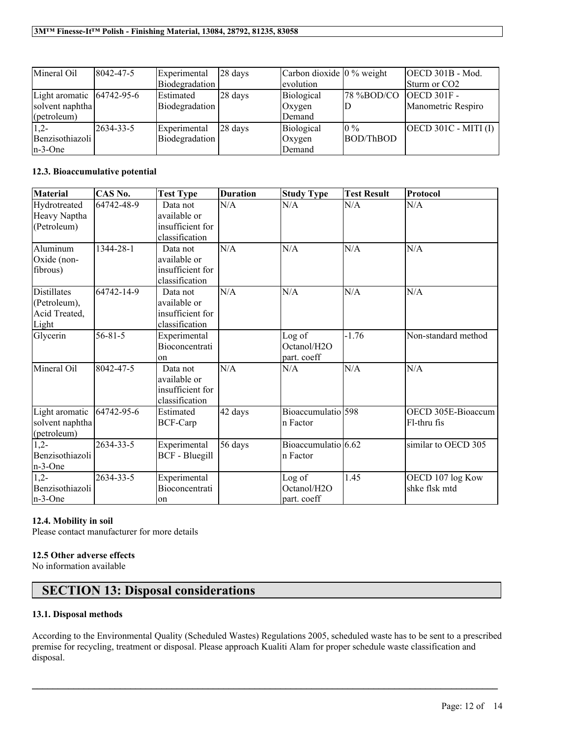| Mineral Oil                   | 8042-47-5 | Experimental        | $ 28 \text{ days} $ | Carbon dioxide $\vert 0\%$ weight |            | <b>OECD 301B - Mod.</b>  |
|-------------------------------|-----------|---------------------|---------------------|-----------------------------------|------------|--------------------------|
|                               |           | Biodegradation      |                     | evolution                         |            | Sturm or CO2             |
| Light aromatic $ 64742-95-6 $ |           | <b>Estimated</b>    | $ 28 \text{ days} $ | Biological                        | 78 %BOD/CO | $IOECD 301F -$           |
| solvent naphtha               |           | Biodegradation      |                     | Oxygen                            | D          | Manometric Respiro       |
| (petroleum)                   |           |                     |                     | Demand                            |            |                          |
| $1,2-$                        | 2634-33-5 | <b>Experimental</b> | $ 28 \text{ days} $ | Biological                        | $10\%$     | $[OECD 301C - MITI (I)]$ |
| Benzisothiazoli               |           | Biodegradation      |                     | Oxygen                            | BOD/ThBOD  |                          |
| $n-3$ -One                    |           |                     |                     | Demand                            |            |                          |

# **12.3. Bioaccumulative potential**

| <b>Material</b> | CAS No.       | <b>Test Type</b>      | <b>Duration</b> | <b>Study Type</b>     | <b>Test Result</b> | Protocol            |
|-----------------|---------------|-----------------------|-----------------|-----------------------|--------------------|---------------------|
| Hydrotreated    | 64742-48-9    | Data not              | N/A             | N/A                   | N/A                | N/A                 |
| Heavy Naptha    |               | available or          |                 |                       |                    |                     |
| (Petroleum)     |               | insufficient for      |                 |                       |                    |                     |
|                 |               | classification        |                 |                       |                    |                     |
| Aluminum        | 1344-28-1     | Data not              | N/A             | N/A                   | N/A                | N/A                 |
| Oxide (non-     |               | available or          |                 |                       |                    |                     |
| fibrous)        |               | insufficient for      |                 |                       |                    |                     |
|                 |               | classification        |                 |                       |                    |                     |
| Distillates     | 64742-14-9    | Data not              | N/A             | N/A                   | N/A                | N/A                 |
| (Petroleum),    |               | available or          |                 |                       |                    |                     |
| Acid Treated,   |               | insufficient for      |                 |                       |                    |                     |
| Light           |               | classification        |                 |                       |                    |                     |
| Glycerin        | $56 - 81 - 5$ | Experimental          |                 | Log of                | $-1.76$            | Non-standard method |
|                 |               | Bioconcentrati        |                 | Octanol/H2O           |                    |                     |
|                 |               | on                    |                 | part. coeff           |                    |                     |
| Mineral Oil     | 8042-47-5     | Data not              | N/A             | N/A                   | N/A                | N/A                 |
|                 |               | available or          |                 |                       |                    |                     |
|                 |               | insufficient for      |                 |                       |                    |                     |
|                 |               | classification        |                 |                       |                    |                     |
| Light aromatic  | 64742-95-6    | Estimated             | 42 days         | Bioaccumulatio 598    |                    | OECD 305E-Bioaccum  |
| solvent naphtha |               | <b>BCF-Carp</b>       |                 | n Factor              |                    | Fl-thru fis         |
| (petroleum)     |               |                       |                 |                       |                    |                     |
| $1,2-$          | 2634-33-5     | Experimental          | 56 days         | Bioaccumulatio $6.62$ |                    | similar to OECD 305 |
| Benzisothiazoli |               | <b>BCF</b> - Bluegill |                 | n Factor              |                    |                     |
| n-3-One         |               |                       |                 |                       |                    |                     |
| $1,2-$          | 2634-33-5     | Experimental          |                 | Log of                | 1.45               | OECD 107 log Kow    |
| Benzisothiazoli |               | Bioconcentrati        |                 | Octanol/H2O           |                    | shke flsk mtd       |
| $n-3$ -One      |               | on                    |                 | part. coeff           |                    |                     |

# **12.4. Mobility in soil**

Please contact manufacturer for more details

# **12.5 Other adverse effects**

No information available

# **SECTION 13: Disposal considerations**

# **13.1. Disposal methods**

According to the Environmental Quality (Scheduled Wastes) Regulations 2005, scheduled waste has to be sent to a prescribed premise for recycling, treatment or disposal. Please approach Kualiti Alam for proper schedule waste classification and disposal.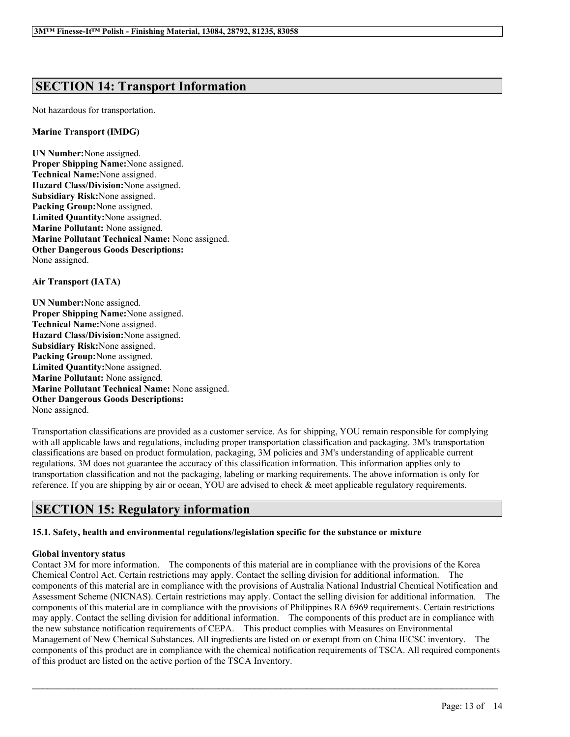# **SECTION 14: Transport Information**

Not hazardous for transportation.

## **Marine Transport (IMDG)**

**UN Number:**None assigned. **Proper Shipping Name:**None assigned. **Technical Name:**None assigned. **Hazard Class/Division:**None assigned. **Subsidiary Risk:**None assigned. **Packing Group:**None assigned. **Limited Quantity:**None assigned. **Marine Pollutant:** None assigned. **Marine Pollutant Technical Name:** None assigned. **Other Dangerous Goods Descriptions:** None assigned.

**Air Transport (IATA)**

**UN Number:**None assigned. **Proper Shipping Name:**None assigned. **Technical Name:**None assigned. **Hazard Class/Division:**None assigned. **Subsidiary Risk:**None assigned. **Packing Group:**None assigned. **Limited Quantity:**None assigned. **Marine Pollutant:** None assigned. **Marine Pollutant Technical Name:** None assigned. **Other Dangerous Goods Descriptions:** None assigned.

Transportation classifications are provided as a customer service. As for shipping, YOU remain responsible for complying with all applicable laws and regulations, including proper transportation classification and packaging. 3M's transportation classifications are based on product formulation, packaging, 3M policies and 3M's understanding of applicable current regulations. 3M does not guarantee the accuracy of this classification information. This information applies only to transportation classification and not the packaging, labeling or marking requirements. The above information is only for reference. If you are shipping by air or ocean, YOU are advised to check & meet applicable regulatory requirements.

# **SECTION 15: Regulatory information**

# **15.1. Safety, health and environmental regulations/legislation specific for the substance or mixture**

# **Global inventory status**

Contact 3M for more information. The components of this material are in compliance with the provisions of the Korea Chemical Control Act. Certain restrictions may apply. Contact the selling division for additional information. The components of this material are in compliance with the provisions of Australia National Industrial Chemical Notification and Assessment Scheme (NICNAS). Certain restrictions may apply. Contact the selling division for additional information. The components of this material are in compliance with the provisions of Philippines RA 6969 requirements. Certain restrictions may apply. Contact the selling division for additional information. The components of this product are in compliance with the new substance notification requirements of CEPA. This product complies with Measures on Environmental Management of New Chemical Substances. All ingredients are listed on or exempt from on China IECSC inventory. The components of this product are in compliance with the chemical notification requirements of TSCA. All required components of this product are listed on the active portion of the TSCA Inventory.